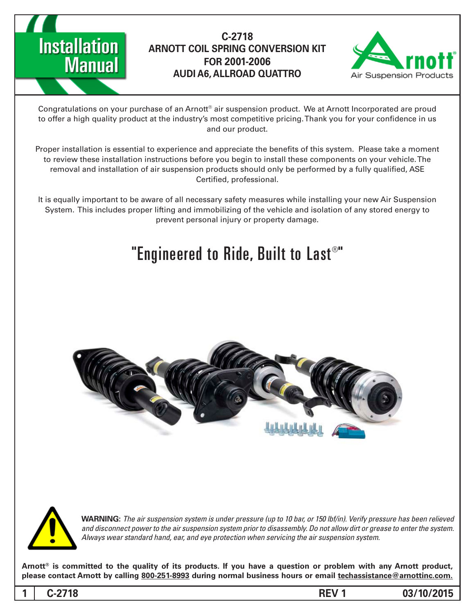



Congratulations on your purchase of an Arnott® air suspension product. We at Arnott Incorporated are proud to offer a high quality product at the industry's most competitive pricing. Thank you for your confidence in us and our product.

Proper installation is essential to experience and appreciate the benefits of this system. Please take a moment to review these installation instructions before you begin to install these components on your vehicle. The removal and installation of air suspension products should only be performed by a fully qualified, ASE Certified, professional.

It is equally important to be aware of all necessary safety measures while installing your new Air Suspension System. This includes proper lifting and immobilizing of the vehicle and isolation of any stored energy to prevent personal injury or property damage.

### "Engineered to Ride, Built to Last $^{\circledast}$ "





*WARNING: The air suspension system is under pressure (up to 10 bar, or 150 lbf/in). Verify pressure has been relieved* and disconnect power to the air suspension system prior to disassembly. Do not allow dirt or grease to enter the system. Always wear standard hand, ear, and eye protection when servicing the air suspension system.

Arnott<sup>®</sup> is committed to the quality of its products. If you have a question or problem with any Arnott product, please contact Arnott by calling 800-251-8993 during normal business hours or email techassistance@arnottinc.com.

**03/10/2015 1 REV -2718C 1**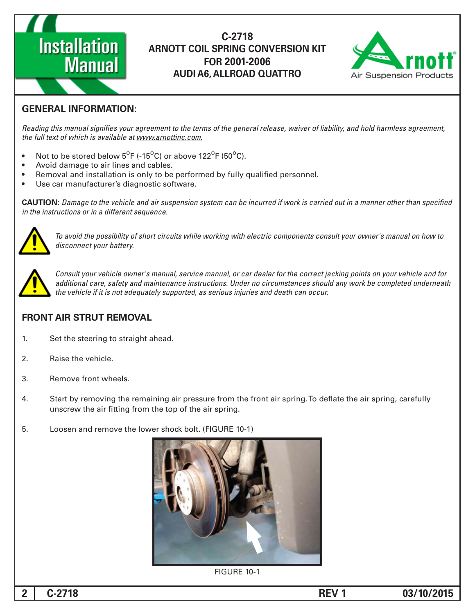



#### **GENERAL INFORMATION:**

Reading this manual signifies your agreement to the terms of the general release, waiver of liability, and hold harmless agreement, the full text of which is available at www.arnottinc.com.

- Not to be stored below  $5^{\circ}$ F (-15 $^{\circ}$ C) or above 122 $^{\circ}$ F (50 $^{\circ}$ C).
- Avoid damage to air lines and cables.
- Removal and installation is only to be performed by fully qualified personnel.
- Use car manufacturer's diagnostic software.

**CAUTION:** Damage to the vehicle and air suspension system can be incurred if work is carried out in a manner other than specified *in the instructions or in a different sequence.* 



To avoid the possibility of short circuits while working with electric components consult your owner's manual on how to disconnect your battery.



*Consult your vehicle owner's manual, service manual, or car dealer for the correct jacking points on your vehicle and for* additional care, safety and maintenance instructions. Under no circumstances should any work be completed underneath the vehicle if it is not adequately supported, as serious injuries and death can occur.

#### **FRONT AIR STRUT REMOVAL**

- 1. Set the steering to straight ahead.
- 2. Raise the vehicle.
- 3. Remove front wheels.
- 4. Start by removing the remaining air pressure from the front air spring. To deflate the air spring, carefully unscrew the air fitting from the top of the air spring.
- 5. Loosen and remove the lower shock bolt. (FIGURE 10-1)



FIGURE 10-1

**03/10/2015 1 REV -2718C 2**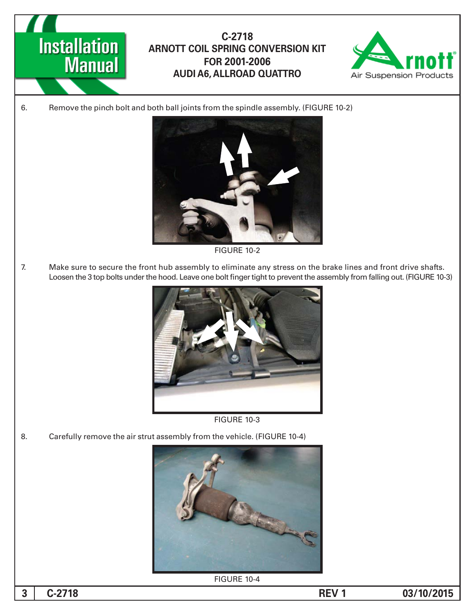



6. Remove the pinch bolt and both ball joints from the spindle assembly. (FIGURE 10-2)



**FIGURE 10-2** 

7. Make sure to secure the front hub assembly to eliminate any stress on the brake lines and front drive shafts. Loosen the 3 top bolts under the hood. Leave one bolt finger tight to prevent the assembly from falling out. (FIGURE 10-3)





8. Carefully remove the air strut assembly from the vehicle. (FIGURE 10-4)



**FIGURE 10-4** 

**03/10/2015 1 REV 1**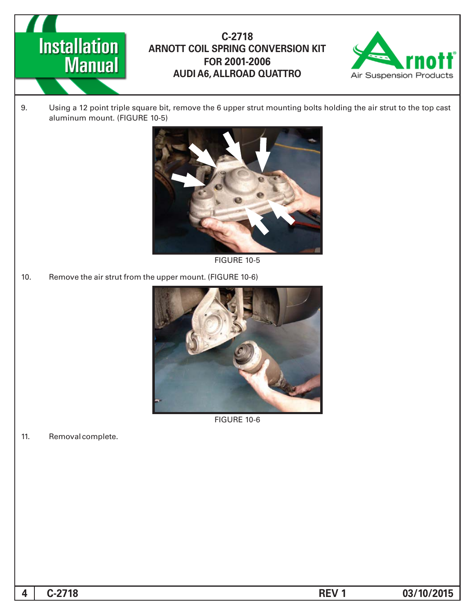



9. Using a 12 point triple square bit, remove the 6 upper strut mounting bolts holding the air strut to the top cast aluminum mount. (FIGURE 10-5)



**FIGURE 10-5** 

10. Remove the air strut from the upper mount. (FIGURE 10-6)



**FIGURE 10-6** 

11. Removal complete.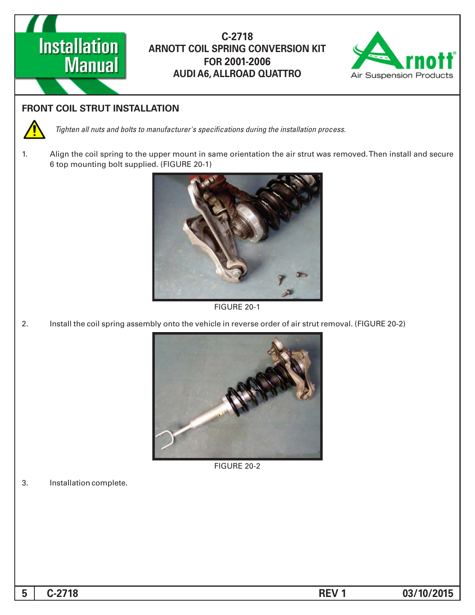



#### **FRONT COIL STRUT INSTALLATION**



*Tighten all nuts and bolts to manufacturer's specifications during the installation process.* 

1. Align the coil spring to the upper mount in same orientation the air strut was removed. Then install and secure 6 top mounting bolt supplied. (FIGURE 20-1)



FIGURE 20-1

2. Install the coil spring assembly onto the vehicle in reverse order of air strut removal. (FIGURE 20-2)



**FIGURE 20-2** 

3. Installation complete.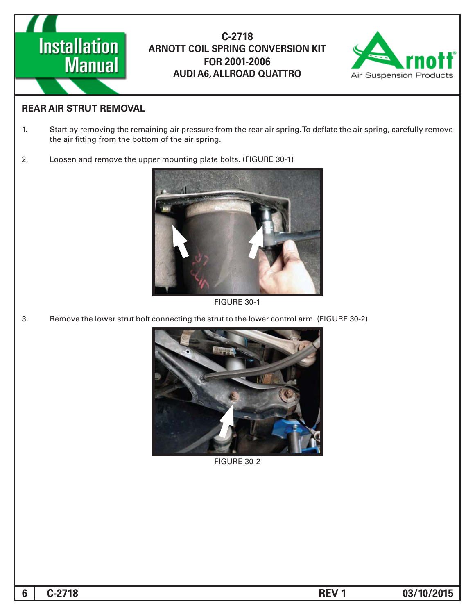



#### **REAR AIR STRUT REMOVAL**

- 1. Start by removing the remaining air pressure from the rear air spring. To deflate the air spring, carefully remove the air fitting from the bottom of the air spring.
- 2. Loosen and remove the upper mounting plate bolts. (FIGURE 30-1)



**FIGURE 30-1** 

3. Remove the lower strut bolt connecting the strut to the lower control arm. (FIGURE 30-2)



**FIGURE 30-2**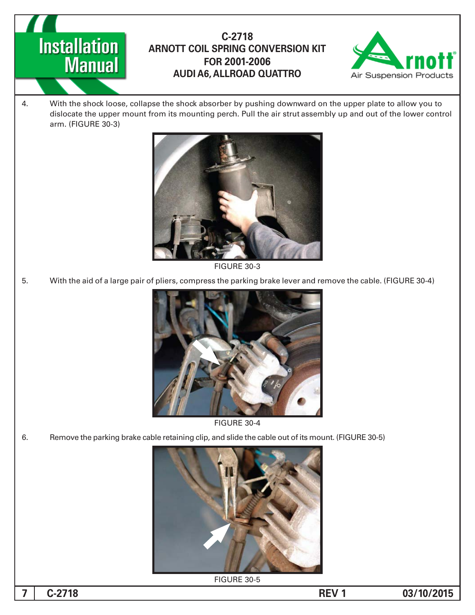# **Installation Manual**

#### **-2718C ARNOTT COIL SPRING CONVERSION KIT 2001-2006 FOR AUDI A6, ALLROAD QUATTRO**



4. With the shock loose, collapse the shock absorber by pushing downward on the upper plate to allow you to dislocate the upper mount from its mounting perch. Pull the air strut assembly up and out of the lower control arm. (FIGURE 30-3)



**FIGURE 30-3** 

5. With the aid of a large pair of pliers, compress the parking brake lever and remove the cable. (FIGURE 30-4)



**FIGURE 30-4** 

6. Figure 1.5 Femove the parking brake cable retaining clip, and slide the cable out of its mount. (FIGURE 30-5)



**FIGURE 30-5**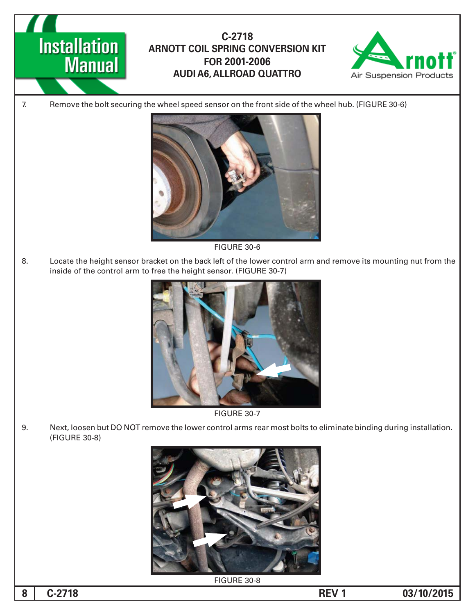## **Installation Manual**

#### **-2718C ARNOTT COIL SPRING CONVERSION KIT 2001-2006 FOR AUDI A6, ALLROAD QUATTRO**



7. Remove the bolt securing the wheel speed sensor on the front side of the wheel hub. (FIGURE 30-6)



**FIGURE 30-6** 

8. Locate the height sensor bracket on the back left of the lower control arm and remove its mounting nut from the inside of the control arm to free the height sensor. (FIGURE 30-7)



**FIGURE 30-7** 

9. Next, loosen but DO NOT remove the lower control arms rear most bolts to eliminate binding during installation. (FIGURE 30-8)



**FIGURE 30-8** 

**03/10/2015 -2718**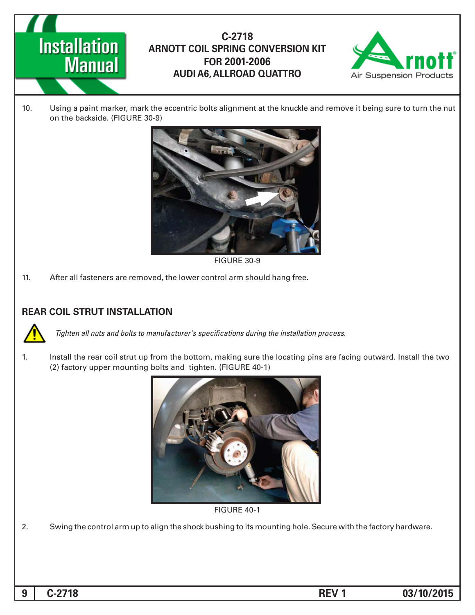



10. Using a paint marker, mark the eccentric bolts alignment at the knuckle and remove it being sure to turn the nut on the backside. (FIGURE 30-9)



FIGURE 30-9

11. After all fasteners are removed, the lower control arm should hang free.

#### **REAR COIL STRUT INSTALLATION**



*Tighten all nuts and bolts to manufacturer's specifications during the installation process.* 

1. Install the rear coil strut up from the bottom, making sure the locating pins are facing outward. Install the two (2) factory upper mounting bolts and tighten. (FIGURE 40-1)



**FIGURE 40-1** 

2. Swing the control arm up to align the shock bushing to its mounting hole. Secure with the factory hardware.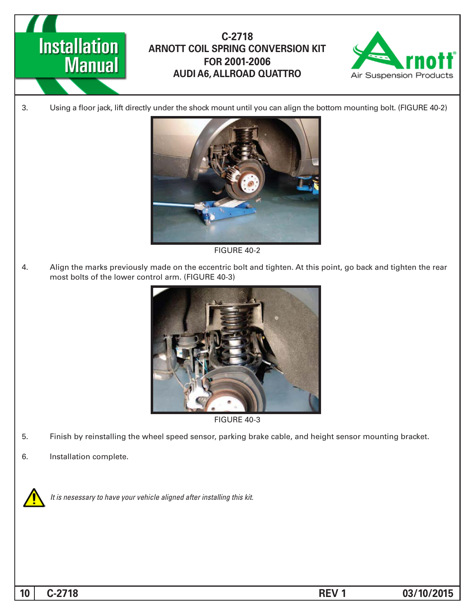



3. Using a floor jack, lift directly under the shock mount until you can align the bottom mounting bolt. (FIGURE 40-2)



**FIGURE 40-2** 

4. Align the marks previously made on the eccentric bolt and tighten. At this point, go back and tighten the rear most bolts of the lower control arm. (FIGURE 40-3)



**FIGURE 40-3** 

- 5. Finish by reinstalling the wheel speed sensor, parking brake cable, and height sensor mounting bracket.
- 6. Installation complete.



It is nesessary to have your vehicle aligned after installing this kit.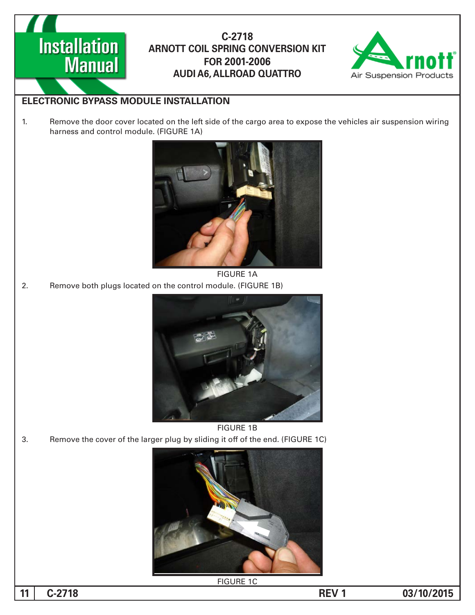



#### **ELECTRONIC BYPASS MODULE INSTALLATION**

1. Remove the door cover located on the left side of the cargo area to expose the vehicles air suspension wiring harness and control module. (FIGURE 1A)



**FIGURE 1A** 2. Remove both plugs located on the control module. (FIGURE 1B)



**FIGURE 1B** 3. Remove the cover of the larger plug by sliding it off of the end. (FIGURE 1C)



**FIGURE 1C** 

11 C-2718 **REV 1 D**  $\overline{03/10/2015}$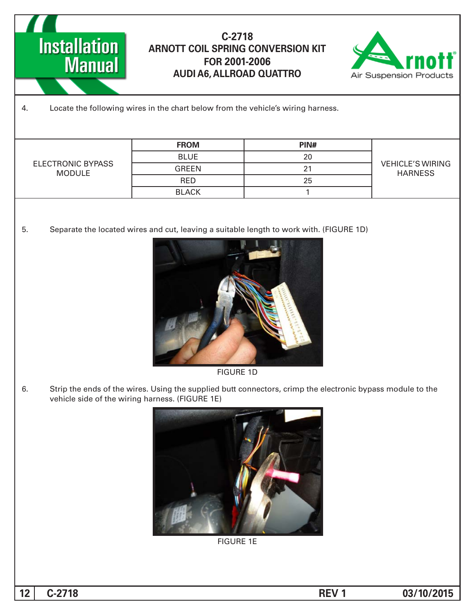



#### 4. Locate the following wires in the chart below from the vehicle's wiring harness.

| ELECTRONIC BYPASS<br>MODULE | <b>FROM</b>  | PIN# | <b>VEHICLE'S WIRING</b><br><b>HARNESS</b> |
|-----------------------------|--------------|------|-------------------------------------------|
|                             | <b>BLUE</b>  | 20   |                                           |
|                             | <b>GREEN</b> |      |                                           |
|                             | <b>RED</b>   | 25   |                                           |
|                             | <b>BLACK</b> |      |                                           |

5. Separate the located wires and cut, leaving a suitable length to work with. (FIGURE 1D)



**FIGURE 1D** 

6. Strip the ends of the wires. Using the supplied butt connectors, crimp the electronic bypass module to the vehicle side of the wiring harness. (FIGURE 1E)



**FIGURE 1E** 

**12 c**-2718 **12 C**-2718